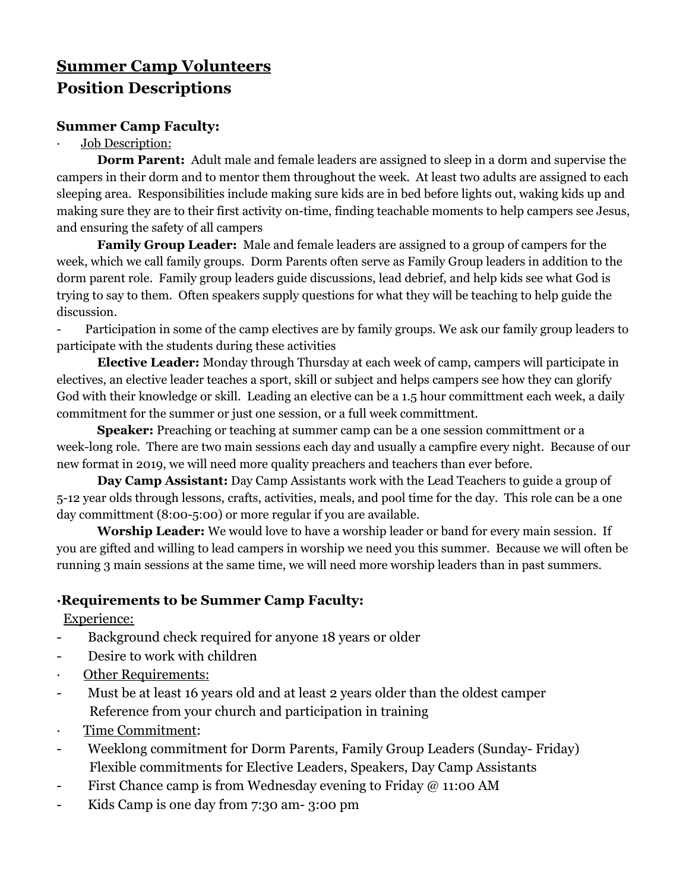# **Summer Camp Volunteers Position Descriptions**

#### **Summer Camp Faculty:**

#### Job Description:

**Dorm Parent:** Adult male and female leaders are assigned to sleep in a dorm and supervise the campers in their dorm and to mentor them throughout the week. At least two adults are assigned to each sleeping area. Responsibilities include making sure kids are in bed before lights out, waking kids up and making sure they are to their first activity on-time, finding teachable moments to help campers see Jesus, and ensuring the safety of all campers

**Family Group Leader:** Male and female leaders are assigned to a group of campers for the week, which we call family groups. Dorm Parents often serve as Family Group leaders in addition to the dorm parent role. Family group leaders guide discussions, lead debrief, and help kids see what God is trying to say to them. Often speakers supply questions for what they will be teaching to help guide the discussion.

Participation in some of the camp electives are by family groups. We ask our family group leaders to participate with the students during these activities

**Elective Leader:** Monday through Thursday at each week of camp, campers will participate in electives, an elective leader teaches a sport, skill or subject and helps campers see how they can glorify God with their knowledge or skill. Leading an elective can be a 1.5 hour committment each week, a daily commitment for the summer or just one session, or a full week committment.

**Speaker:** Preaching or teaching at summer camp can be a one session committment or a week-long role. There are two main sessions each day and usually a campfire every night. Because of our new format in 2019, we will need more quality preachers and teachers than ever before.

**Day Camp Assistant:** Day Camp Assistants work with the Lead Teachers to guide a group of 5-12 year olds through lessons, crafts, activities, meals, and pool time for the day. This role can be a one day committment (8:00-5:00) or more regular if you are available.

**Worship Leader:** We would love to have a worship leader or band for every main session. If you are gifted and willing to lead campers in worship we need you this summer. Because we will often be running 3 main sessions at the same time, we will need more worship leaders than in past summers.

## **·Requirements to be Summer Camp Faculty:**

Experience:

- Background check required for anyone 18 years or older
- Desire to work with children
- Other Requirements:
- Must be at least 16 years old and at least 2 years older than the oldest camper Reference from your church and participation in training
- · Time Commitment:
- Weeklong commitment for Dorm Parents, Family Group Leaders (Sunday- Friday) Flexible commitments for Elective Leaders, Speakers, Day Camp Assistants
- First Chance camp is from Wednesday evening to Friday @ 11:00 AM
- Kids Camp is one day from 7:30 am- 3:00 pm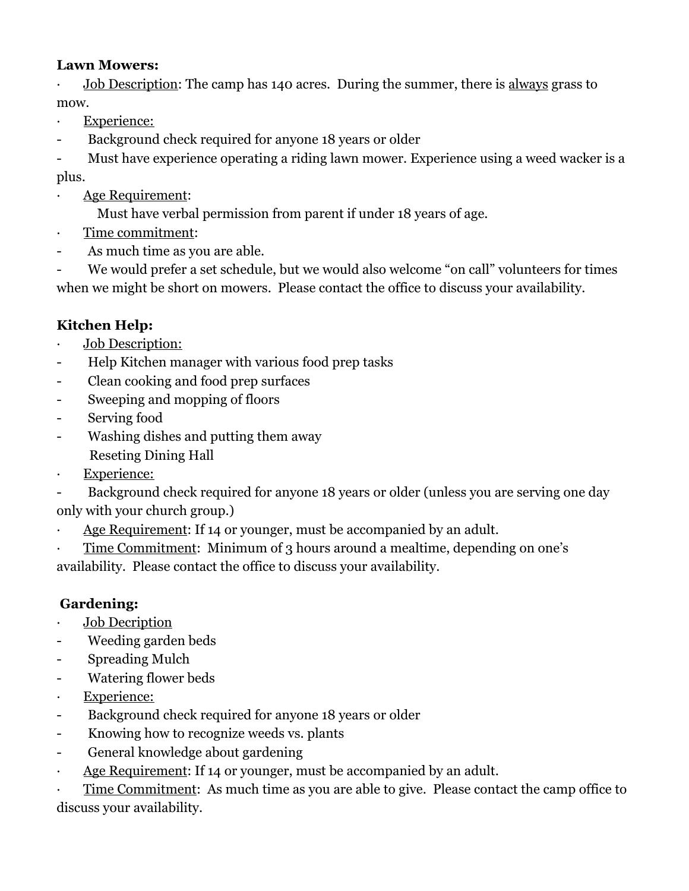### **Lawn Mowers:**

Job Description: The camp has 140 acres. During the summer, there is always grass to mow.

- · Experience:
- Background check required for anyone 18 years or older

- Must have experience operating a riding lawn mower. Experience using a weed wacker is a plus.

- Age Requirement:
	- Must have verbal permission from parent if under 18 years of age.
- · Time commitment:
- As much time as you are able.

- We would prefer a set schedule, but we would also welcome "on call" volunteers for times when we might be short on mowers. Please contact the office to discuss your availability.

# **Kitchen Help:**

- · Job Description:
- Help Kitchen manager with various food prep tasks
- Clean cooking and food prep surfaces
- Sweeping and mopping of floors
- Serving food
- Washing dishes and putting them away Reseting Dining Hall
- **Experience:**

Background check required for anyone 18 years or older (unless you are serving one day only with your church group.)

- · Age Requirement: If 14 or younger, must be accompanied by an adult.
- Time Commitment: Minimum of 3 hours around a mealtime, depending on one's

availability. Please contact the office to discuss your availability.

## **Gardening:**

- Job Decription
- Weeding garden beds
- Spreading Mulch
- Watering flower beds
- · Experience:
- Background check required for anyone 18 years or older
- Knowing how to recognize weeds vs. plants
- General knowledge about gardening
- · Age Requirement: If 14 or younger, must be accompanied by an adult.

· Time Commitment: As much time as you are able to give. Please contact the camp office to discuss your availability.